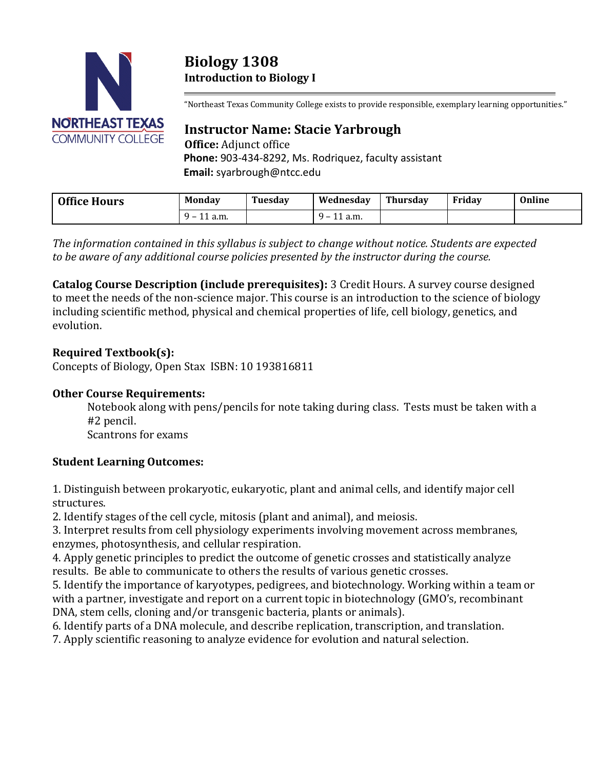# **NORTHEAST TEXAS COMMUNITY COLLEGE**

# **Biology 1308 Introduction to Biology I**

"Northeast Texas Community College exists to provide responsible, exemplary learning opportunities."

# **Instructor Name: Stacie Yarbrough**

**Office:** Adjunct office **Phone:** 903-434-8292, Ms. Rodriquez, faculty assistant **Email:** syarbrough@ntcc.edu

| <b>Office Hours</b> | <b>Monday</b>                    | Tuesday | Wednesday      | Thursday | Friday | Online |
|---------------------|----------------------------------|---------|----------------|----------|--------|--------|
|                     | a.m.<br>$\overline{\phantom{0}}$ |         | 11 a.m.<br>. – |          |        |        |

*The information contained in this syllabus is subject to change without notice. Students are expected to be aware of any additional course policies presented by the instructor during the course.*

**Catalog Course Description (include prerequisites):** 3 Credit Hours. A survey course designed to meet the needs of the non-science major. This course is an introduction to the science of biology including scientific method, physical and chemical properties of life, cell biology, genetics, and evolution.

#### **Required Textbook(s):**

Concepts of Biology, Open Stax ISBN: 10 193816811

## **Other Course Requirements:**

Notebook along with pens/pencils for note taking during class. Tests must be taken with a #2 pencil. Scantrons for exams

## **Student Learning Outcomes:**

1. Distinguish between prokaryotic, eukaryotic, plant and animal cells, and identify major cell structures.

2. Identify stages of the cell cycle, mitosis (plant and animal), and meiosis.

3. Interpret results from cell physiology experiments involving movement across membranes, enzymes, photosynthesis, and cellular respiration.

4. Apply genetic principles to predict the outcome of genetic crosses and statistically analyze results. Be able to communicate to others the results of various genetic crosses.

5. Identify the importance of karyotypes, pedigrees, and biotechnology. Working within a team or with a partner, investigate and report on a current topic in biotechnology (GMO's, recombinant DNA, stem cells, cloning and/or transgenic bacteria, plants or animals).

6. Identify parts of a DNA molecule, and describe replication, transcription, and translation.

7. Apply scientific reasoning to analyze evidence for evolution and natural selection.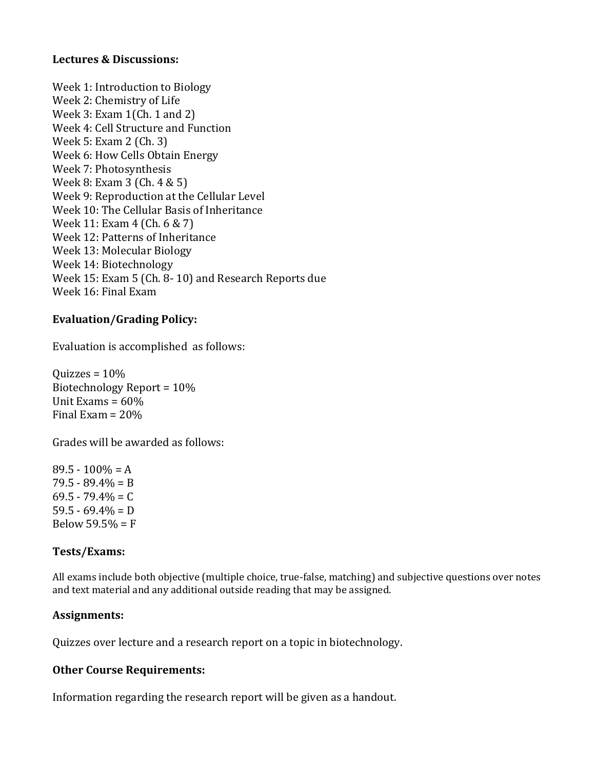#### **Lectures & Discussions:**

Week 1: Introduction to Biology Week 2: Chemistry of Life Week 3: Exam 1(Ch. 1 and 2) Week 4: Cell Structure and Function Week 5: Exam 2 (Ch. 3) Week 6: How Cells Obtain Energy Week 7: Photosynthesis Week 8: Exam 3 (Ch. 4 & 5) Week 9: Reproduction at the Cellular Level Week 10: The Cellular Basis of Inheritance Week 11: Exam 4 (Ch. 6 & 7) Week 12: Patterns of Inheritance Week 13: Molecular Biology Week 14: Biotechnology Week 15: Exam 5 (Ch. 8- 10) and Research Reports due Week 16: Final Exam

## **Evaluation/Grading Policy:**

Evaluation is accomplished as follows:

 $Quizzes = 10%$ Biotechnology Report = 10% Unit Exams = 60% Final Exam = 20%

Grades will be awarded as follows:

 $89.5 - 100\% = A$  $79.5 - 89.4\% = B$  $69.5 - 79.4\% = C$  $59.5 - 69.4\% = D$ Below  $59.5% = F$ 

## **Tests/Exams:**

All exams include both objective (multiple choice, true-false, matching) and subjective questions over notes and text material and any additional outside reading that may be assigned.

#### **Assignments:**

Quizzes over lecture and a research report on a topic in biotechnology.

## **Other Course Requirements:**

Information regarding the research report will be given as a handout.